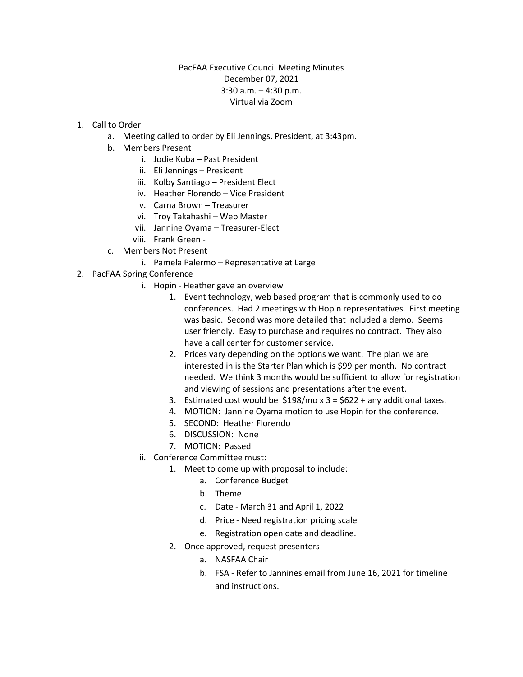## PacFAA Executive Council Meeting Minutes December 07, 2021 3:30 a.m. – 4:30 p.m. Virtual via Zoom

- 1. Call to Order
	- a. Meeting called to order by Eli Jennings, President, at 3:43pm.
	- b. Members Present
		- i. Jodie Kuba Past President
		- ii. Eli Jennings President
		- iii. Kolby Santiago President Elect
		- iv. Heather Florendo Vice President
		- v. Carna Brown Treasurer
		- vi. Troy Takahashi Web Master
		- vii. Jannine Oyama Treasurer-Elect
		- viii. Frank Green -
	- c. Members Not Present
		- i. Pamela Palermo Representative at Large
- 2. PacFAA Spring Conference
	- i. Hopin Heather gave an overview
		- 1. Event technology, web based program that is commonly used to do conferences. Had 2 meetings with Hopin representatives. First meeting was basic. Second was more detailed that included a demo. Seems user friendly. Easy to purchase and requires no contract. They also have a call center for customer service.
		- 2. Prices vary depending on the options we want. The plan we are interested in is the Starter Plan which is \$99 per month. No contract needed. We think 3 months would be sufficient to allow for registration and viewing of sessions and presentations after the event.
		- 3. Estimated cost would be  $$198/mo x 3 = $622 + any additional taxes.$
		- 4. MOTION: Jannine Oyama motion to use Hopin for the conference.
		- 5. SECOND: Heather Florendo
		- 6. DISCUSSION: None
		- 7. MOTION: Passed
	- ii. Conference Committee must:
		- 1. Meet to come up with proposal to include:
			- a. Conference Budget
			- b. Theme
			- c. Date March 31 and April 1, 2022
			- d. Price Need registration pricing scale
			- e. Registration open date and deadline.
		- 2. Once approved, request presenters
			- a. NASFAA Chair
			- b. FSA Refer to Jannines email from June 16, 2021 for timeline and instructions.